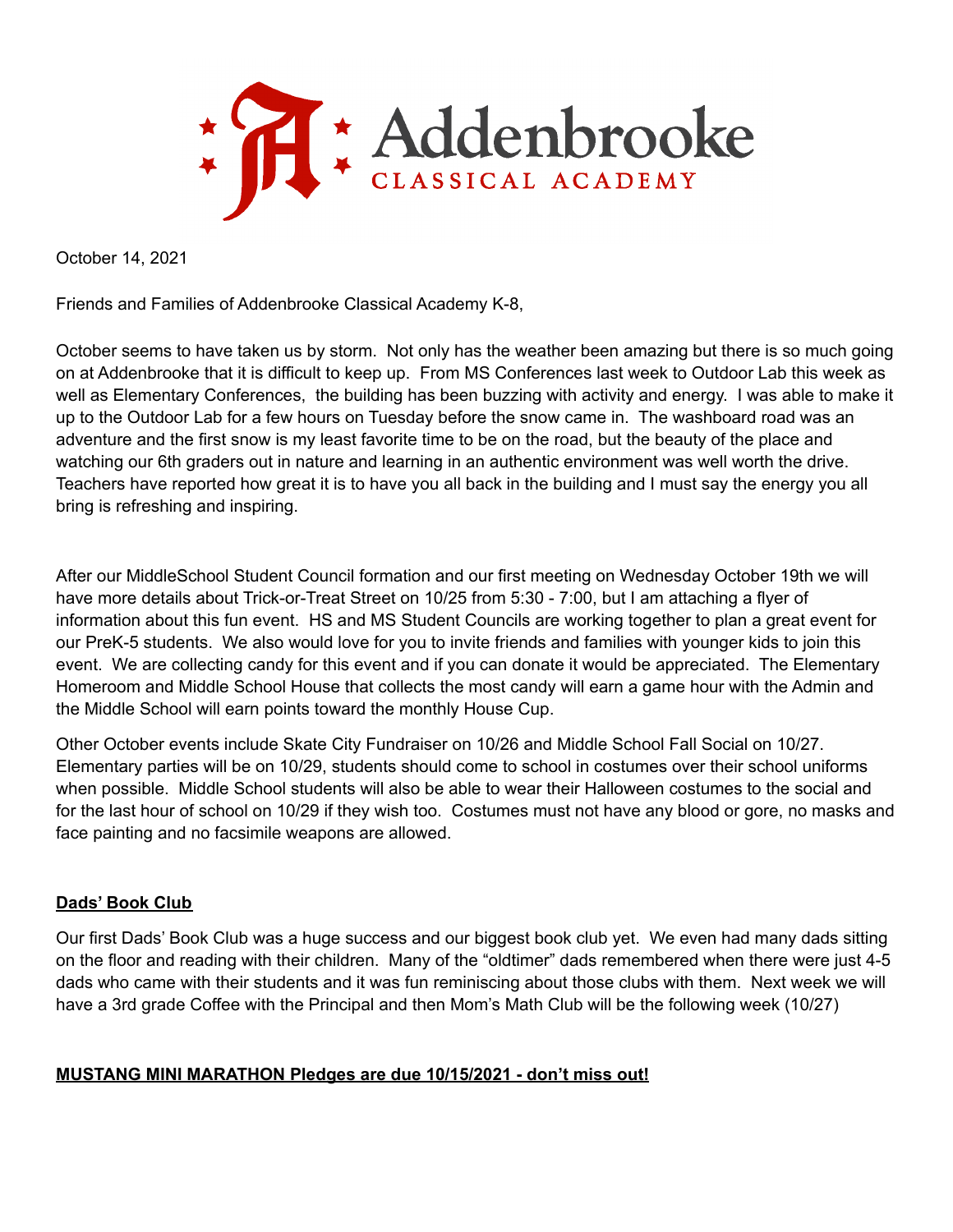

October 14, 2021

Friends and Families of Addenbrooke Classical Academy K-8,

October seems to have taken us by storm. Not only has the weather been amazing but there is so much going on at Addenbrooke that it is difficult to keep up. From MS Conferences last week to Outdoor Lab this week as well as Elementary Conferences, the building has been buzzing with activity and energy. I was able to make it up to the Outdoor Lab for a few hours on Tuesday before the snow came in. The washboard road was an adventure and the first snow is my least favorite time to be on the road, but the beauty of the place and watching our 6th graders out in nature and learning in an authentic environment was well worth the drive. Teachers have reported how great it is to have you all back in the building and I must say the energy you all bring is refreshing and inspiring.

After our MiddleSchool Student Council formation and our first meeting on Wednesday October 19th we will have more details about Trick-or-Treat Street on 10/25 from 5:30 - 7:00, but I am attaching a flyer of information about this fun event. HS and MS Student Councils are working together to plan a great event for our PreK-5 students. We also would love for you to invite friends and families with younger kids to join this event. We are collecting candy for this event and if you can donate it would be appreciated. The Elementary Homeroom and Middle School House that collects the most candy will earn a game hour with the Admin and the Middle School will earn points toward the monthly House Cup.

Other October events include Skate City Fundraiser on 10/26 and Middle School Fall Social on 10/27. Elementary parties will be on 10/29, students should come to school in costumes over their school uniforms when possible. Middle School students will also be able to wear their Halloween costumes to the social and for the last hour of school on 10/29 if they wish too. Costumes must not have any blood or gore, no masks and face painting and no facsimile weapons are allowed.

### **Dads' Book Club**

Our first Dads' Book Club was a huge success and our biggest book club yet. We even had many dads sitting on the floor and reading with their children. Many of the "oldtimer" dads remembered when there were just 4-5 dads who came with their students and it was fun reminiscing about those clubs with them. Next week we will have a 3rd grade Coffee with the Principal and then Mom's Math Club will be the following week (10/27)

# **MUSTANG MINI MARATHON Pledges are due 10/15/2021 - don't miss out!**